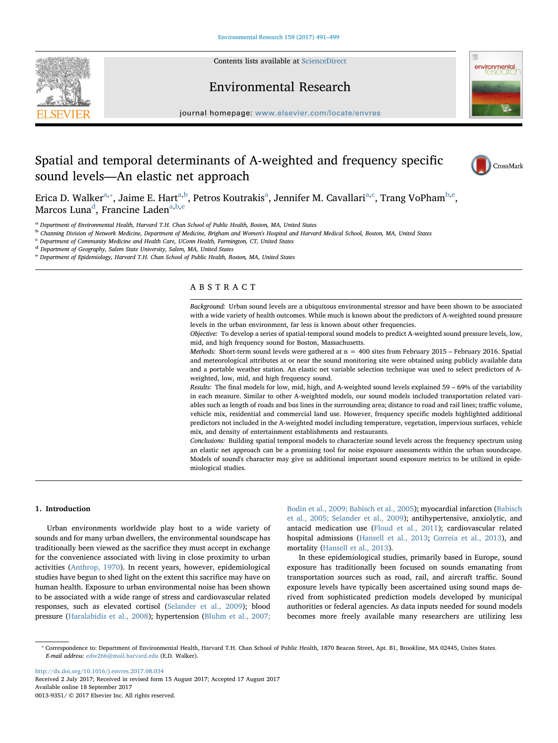

Contents lists available at [ScienceDirect](http://www.sciencedirect.com/science/journal/00139351) Environmental Research

journal homepage: [www.elsevier.com/locate/envres](http://www.elsevier.com/locate/envres)

# Spatial and temporal determinants of A-weighted and frequency specific sound levels—An elastic net approach



Erica D. Walker<sup>[a,](#page-0-0)</sup>\*, J[a](#page-0-0)ime E. Hart<sup>a[,b](#page-0-2)</sup>, Petros Koutrakis<sup>a</sup>, Jennifer M. Cavallari<sup>a,[c](#page-0-3)</sup>, Trang VoPham<sup>[b,](#page-0-2)[e](#page-0-4)</sup>, Marcos Luna<sup>[d](#page-0-5)</sup>, Francine Laden<sup>[a,](#page-0-0)[b](#page-0-2),[e](#page-0-4)</sup>

<span id="page-0-0"></span><sup>a</sup> Department of Environmental Health, Harvard T.H. Chan School of Public Health, Boston, MA, United States

<span id="page-0-2"></span><sup>b</sup> Channing Division of Network Medicine, Department of Medicine, Brigham and Women's Hospital and Harvard Medical School, Boston, MA, United States

<span id="page-0-3"></span><sup>c</sup> Department of Community Medicine and Health Care, UConn Health, Farmington, CT, United States

<span id="page-0-5"></span><sup>d</sup> Department of Geography, Salem State University, Salem, MA, United States

<span id="page-0-4"></span><sup>e</sup> Department of Epidemiology, Harvard T.H. Chan School of Public Health, Boston, MA, United States

# ABSTRACT

Background: Urban sound levels are a ubiquitous environmental stressor and have been shown to be associated with a wide variety of health outcomes. While much is known about the predictors of A-weighted sound pressure levels in the urban environment, far less is known about other frequencies.

Objective: To develop a series of spatial-temporal sound models to predict A-weighted sound pressure levels, low, mid, and high frequency sound for Boston, Massachusetts.

Methods: Short-term sound levels were gathered at  $n = 400$  sites from February 2015 – February 2016. Spatial and meteorological attributes at or near the sound monitoring site were obtained using publicly available data and a portable weather station. An elastic net variable selection technique was used to select predictors of Aweighted, low, mid, and high frequency sound.

Results: The final models for low, mid, high, and A-weighted sound levels explained 59 – 69% of the variability in each measure. Similar to other A-weighted models, our sound models included transportation related variables such as length of roads and bus lines in the surrounding area; distance to road and rail lines; traffic volume, vehicle mix, residential and commercial land use. However, frequency specific models highlighted additional predictors not included in the A-weighted model including temperature, vegetation, impervious surfaces, vehicle mix, and density of entertainment establishments and restaurants.

Conclusions: Building spatial temporal models to characterize sound levels across the frequency spectrum using an elastic net approach can be a promising tool for noise exposure assessments within the urban soundscape. Models of sound's character may give us additional important sound exposure metrics to be utilized in epidemiological studies.

## 1. Introduction

Urban environments worldwide play host to a wide variety of sounds and for many urban dwellers, the environmental soundscape has traditionally been viewed as the sacrifice they must accept in exchange for the convenience associated with living in close proximity to urban activities ([Anthrop, 1970](#page-7-0)). In recent years, however, epidemiological studies have begun to shed light on the extent this sacrifice may have on human health. Exposure to urban environmental noise has been shown to be associated with a wide range of stress and cardiovascular related responses, such as elevated cortisol ([Selander et al., 2009\)](#page-8-0); blood pressure [\(Haralabidis et al., 2008](#page-7-1)); hypertension ([Bluhm et al., 2007;](#page-7-2)

[Bodin et al., 2009; Babisch et al., 2005](#page-7-2)); myocardial infarction [\(Babisch](#page-7-3) [et al., 2005; Selander et al., 2009\)](#page-7-3); antihypertensive, anxiolytic, and antacid medication use [\(Floud et al., 2011\)](#page-7-4); cardiovascular related hospital admissions ([Hansell et al., 2013;](#page-7-5) [Correia et al., 2013\)](#page-7-6), and mortality ([Hansell et al., 2013\)](#page-7-5).

In these epidemiological studies, primarily based in Europe, sound exposure has traditionally been focused on sounds emanating from transportation sources such as road, rail, and aircraft traffic. Sound exposure levels have typically been ascertained using sound maps derived from sophisticated prediction models developed by municipal authorities or federal agencies. As data inputs needed for sound models becomes more freely available many researchers are utilizing less

<http://dx.doi.org/10.1016/j.envres.2017.08.034> Received 2 July 2017; Received in revised form 15 August 2017; Accepted 17 August 2017 Available online 18 September 2017

0013-9351/ © 2017 Elsevier Inc. All rights reserved.

<span id="page-0-1"></span><sup>⁎</sup> Correspondence to: Department of Environmental Health, Harvard T.H. Chan School of Public Health, 1870 Beacon Street, Apt. B1, Brookline, MA 02445, Unites States. E-mail address: [edw266@mail.harvard.edu](mailto:edw266@mail.harvard.edu) (E.D. Walker).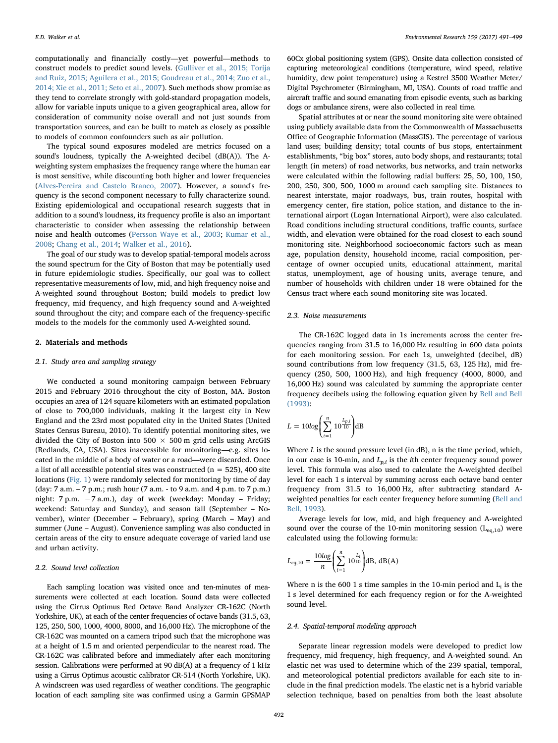computationally and financially costly—yet powerful—methods to construct models to predict sound levels. [\(Gulliver et al., 2015; Torija](#page-7-7) [and Ruiz, 2015; Aguilera et al., 2015; Goudreau et al., 2014; Zuo et al.,](#page-7-7) [2014; Xie et al., 2011; Seto et al., 2007](#page-7-7)). Such methods show promise as they tend to correlate strongly with gold-standard propagation models, allow for variable inputs unique to a given geographical area, allow for consideration of community noise overall and not just sounds from transportation sources, and can be built to match as closely as possible to models of common confounders such as air pollution.

The typical sound exposures modeled are metrics focused on a sound's loudness, typically the A-weighted decibel (dB(A)). The Aweighting system emphasizes the frequency range where the human ear is most sensitive, while discounting both higher and lower frequencies ([Alves-Pereira and Castelo Branco, 2007](#page-7-8)). However, a sound's frequency is the second component necessary to fully characterize sound. Existing epidemiological and occupational research suggests that in addition to a sound's loudness, its frequency profile is also an important characteristic to consider when assessing the relationship between noise and health outcomes ([Persson Waye et al., 2003;](#page-8-1) [Kumar et al.,](#page-8-2) [2008;](#page-8-2) [Chang et al., 2014](#page-7-9); [Walker et al., 2016\)](#page-8-3).

The goal of our study was to develop spatial-temporal models across the sound spectrum for the City of Boston that may be potentially used in future epidemiologic studies. Specifically, our goal was to collect representative measurements of low, mid, and high frequency noise and A-weighted sound throughout Boston; build models to predict low frequency, mid frequency, and high frequency sound and A-weighted sound throughout the city; and compare each of the frequency-specific models to the models for the commonly used A-weighted sound.

## 2. Materials and methods

## 2.1. Study area and sampling strategy

We conducted a sound monitoring campaign between February 2015 and February 2016 throughout the city of Boston, MA. Boston occupies an area of 124 square kilometers with an estimated population of close to 700,000 individuals, making it the largest city in New England and the 23rd most populated city in the United States (United States Census Bureau, 2010). To identify potential monitoring sites, we divided the City of Boston into  $500 \times 500$  m grid cells using ArcGIS (Redlands, CA, USA). Sites inaccessible for monitoring—e.g. sites located in the middle of a body of water or a road—were discarded. Once a list of all accessible potential sites was constructed ( $n = 525$ ), 400 site locations [\(Fig. 1](#page-2-0)) were randomly selected for monitoring by time of day (day: 7 a.m. – 7 p.m.; rush hour (7 a.m. - to 9 a.m. and 4 p.m. to 7 p.m.) night: 7 p.m. −7 a.m.), day of week (weekday: Monday – Friday; weekend: Saturday and Sunday), and season fall (September – November), winter (December – February), spring (March – May) and summer (June – August). Convenience sampling was also conducted in certain areas of the city to ensure adequate coverage of varied land use and urban activity.

# 2.2. Sound level collection

Each sampling location was visited once and ten-minutes of measurements were collected at each location. Sound data were collected using the Cirrus Optimus Red Octave Band Analyzer CR-162C (North Yorkshire, UK), at each of the center frequencies of octave bands (31.5, 63, 125, 250, 500, 1000, 4000, 8000, and 16,000 Hz). The microphone of the CR-162C was mounted on a camera tripod such that the microphone was at a height of 1.5 m and oriented perpendicular to the nearest road. The CR-162C was calibrated before and immediately after each monitoring session. Calibrations were performed at 90 dB(A) at a frequency of 1 kHz using a Cirrus Optimus acoustic calibrator CR-514 (North Yorkshire, UK). A windscreen was used regardless of weather conditions. The geographic location of each sampling site was confirmed using a Garmin GPSMAP

60Cx global positioning system (GPS). Onsite data collection consisted of capturing meteorological conditions (temperature, wind speed, relative humidity, dew point temperature) using a Kestrel 3500 Weather Meter/ Digital Psychrometer (Birmingham, MI, USA). Counts of road traffic and aircraft traffic and sound emanating from episodic events, such as barking dogs or ambulance sirens, were also collected in real time.

Spatial attributes at or near the sound monitoring site were obtained using publicly available data from the Commonwealth of Massachusetts Office of Geographic Information (MassGIS). The percentage of various land uses; building density; total counts of bus stops, entertainment establishments, "big box" stores, auto body shops, and restaurants; total length (in meters) of road networks, bus networks, and train networks were calculated within the following radial buffers: 25, 50, 100, 150, 200, 250, 300, 500, 1000 m around each sampling site. Distances to nearest interstate, major roadways, bus, train routes, hospital with emergency center, fire station, police station, and distance to the international airport (Logan International Airport), were also calculated. Road conditions including structural conditions, traffic counts, surface width, and elevation were obtained for the road closest to each sound monitoring site. Neighborhood socioeconomic factors such as mean age, population density, household income, racial composition, percentage of owner occupied units, educational attainment, marital status, unemployment, age of housing units, average tenure, and number of households with children under 18 were obtained for the Census tract where each sound monitoring site was located.

### 2.3. Noise measurements

The CR-162C logged data in 1s increments across the center frequencies ranging from 31.5 to 16,000 Hz resulting in 600 data points for each monitoring session. For each 1s, unweighted (decibel, dB) sound contributions from low frequency (31.5, 63, 125 Hz), mid frequency (250, 500, 1000 Hz), and high frequency (4000, 8000, and 16,000 Hz) sound was calculated by summing the appropriate center frequency decibels using the following equation given by [Bell and Bell](#page-7-10) [\(1993\):](#page-7-10)

$$
L = 10\log \left( \sum_{i=1}^{n} 10^{\frac{L_{p,i}}{10}} \right) \text{dB}
$$

Where  $L$  is the sound pressure level (in dB),  $n$  is the time period, which, in our case is 10-min, and  $L_{p,i}$  is the *i*th center frequency sound power level. This formula was also used to calculate the A-weighted decibel level for each 1 s interval by summing across each octave band center frequency from 31.5 to 16,000 Hz, after subtracting standard Aweighted penalties for each center frequency before summing ([Bell and](#page-7-10) [Bell, 1993\)](#page-7-10).

Average levels for low, mid, and high frequency and A-weighted sound over the course of the 10-min monitoring session  $(L_{ea,10})$  were calculated using the following formula:

$$
L_{eq,10} = \frac{10\log}{n} \left( \sum_{i=1}^{n} 10^{\frac{L_i}{10}} \right) dB, dB(A)
$$

Where n is the 600 1 s time samples in the 10-min period and  $L_i$  is the 1 s level determined for each frequency region or for the A-weighted sound level.

## 2.4. Spatial-temporal modeling approach

Separate linear regression models were developed to predict low frequency, mid frequency, high frequency, and A-weighted sound. An elastic net was used to determine which of the 239 spatial, temporal, and meteorological potential predictors available for each site to include in the final prediction models. The elastic net is a hybrid variable selection technique, based on penalties from both the least absolute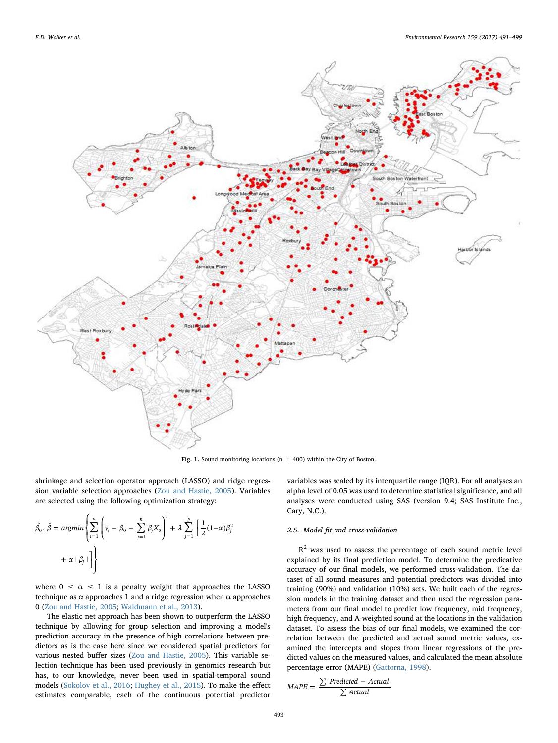<span id="page-2-0"></span>

Fig. 1. Sound monitoring locations ( $n = 400$ ) within the City of Boston.

shrinkage and selection operator approach (LASSO) and ridge regression variable selection approaches [\(Zou and Hastie, 2005](#page-8-4)). Variables are selected using the following optimization strategy:

$$
\hat{\beta}_0, \hat{\beta} = \operatorname{argmin} \left\{ \sum_{i=1}^n \left( y_i - \beta_0 - \sum_{j=1}^n \beta_j X_{ij} \right)^2 + \lambda \sum_{j=1}^p \left[ \frac{1}{2} (1 - \alpha) \beta_j^2 + \alpha + \beta_j + \alpha + \beta_j + \right] \right\}
$$

where  $0 \le \alpha \le 1$  is a penalty weight that approaches the LASSO technique as α approaches 1 and a ridge regression when α approaches 0 ([Zou and Hastie, 2005;](#page-8-4) [Waldmann et al., 2013](#page-8-5)).

The elastic net approach has been shown to outperform the LASSO technique by allowing for group selection and improving a model's prediction accuracy in the presence of high correlations between predictors as is the case here since we considered spatial predictors for various nested buffer sizes ([Zou and Hastie, 2005\)](#page-8-4). This variable selection technique has been used previously in genomics research but has, to our knowledge, never been used in spatial-temporal sound models [\(Sokolov et al., 2016](#page-8-6); [Hughey et al., 2015\)](#page-8-7). To make the effect estimates comparable, each of the continuous potential predictor

variables was scaled by its interquartile range (IQR). For all analyses an alpha level of 0.05 was used to determine statistical significance, and all analyses were conducted using SAS (version 9.4; SAS Institute Inc., Cary, N.C.).

## 2.5. Model fit and cross-validation

 $R<sup>2</sup>$  was used to assess the percentage of each sound metric level explained by its final prediction model. To determine the predicative accuracy of our final models, we performed cross-validation. The dataset of all sound measures and potential predictors was divided into training (90%) and validation (10%) sets. We built each of the regression models in the training dataset and then used the regression parameters from our final model to predict low frequency, mid frequency, high frequency, and A-weighted sound at the locations in the validation dataset. To assess the bias of our final models, we examined the correlation between the predicted and actual sound metric values, examined the intercepts and slopes from linear regressions of the predicted values on the measured values, and calculated the mean absolute percentage error (MAPE) [\(Gattorna, 1998](#page-7-11)).

$$
MAPE = \frac{\sum |Predicted - Actual|}{\sum Actual}
$$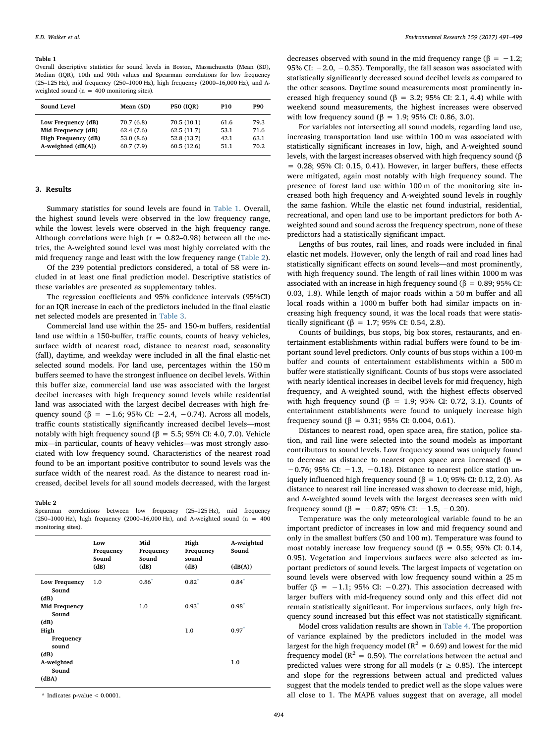#### <span id="page-3-0"></span>Table 1

Overall descriptive statistics for sound levels in Boston, Massachusetts (Mean (SD), Median (IQR), 10th and 90th values and Spearman correlations for low frequency (25–125 Hz), mid frequency (250–1000 Hz), high frequency (2000–16,000 Hz), and Aweighted sound ( $n = 400$  monitoring sites).

| Sound Level                                                                                | Mean (SD)                                         | <b>P50 (IOR)</b>                                      | <b>P10</b>                   | <b>P90</b>                   |
|--------------------------------------------------------------------------------------------|---------------------------------------------------|-------------------------------------------------------|------------------------------|------------------------------|
| Low Frequency (dB)<br>Mid Frequency (dB)<br>High Frequency (dB)<br>$A$ -weighted $(dB(A))$ | 70.7 (6.8)<br>62.4(7.6)<br>53.0(8.6)<br>60.7(7.9) | 70.5(10.1)<br>62.5(11.7)<br>52.8 (13.7)<br>60.5(12.6) | 61.6<br>53.1<br>42.1<br>51.1 | 79.3<br>71.6<br>63.1<br>70.2 |

## 3. Results

Summary statistics for sound levels are found in [Table 1](#page-3-0). Overall, the highest sound levels were observed in the low frequency range, while the lowest levels were observed in the high frequency range. Although correlations were high ( $r = 0.82-0.98$ ) between all the metrics, the A-weighted sound level was most highly correlated with the mid frequency range and least with the low frequency range [\(Table 2](#page-3-1)).

Of the 239 potential predictors considered, a total of 58 were included in at least one final prediction model. Descriptive statistics of these variables are presented as supplementary tables.

The regression coefficients and 95% confidence intervals (95%CI) for an IQR increase in each of the predictors included in the final elastic net selected models are presented in [Table 3.](#page-4-0)

Commercial land use within the 25- and 150-m buffers, residential land use within a 150-buffer, traffic counts, counts of heavy vehicles, surface width of nearest road, distance to nearest road, seasonality (fall), daytime, and weekday were included in all the final elastic-net selected sound models. For land use, percentages within the 150 m buffers seemed to have the strongest influence on decibel levels. Within this buffer size, commercial land use was associated with the largest decibel increases with high frequency sound levels while residential land was associated with the largest decibel decreases with high frequency sound ( $\beta = -1.6$ ; 95% CI:  $-2.4$ ,  $-0.74$ ). Across all models, traffic counts statistically significantly increased decibel levels—most notably with high frequency sound (β = 5.5; 95% CI: 4.0, 7.0). Vehicle mix—in particular, counts of heavy vehicles—was most strongly associated with low frequency sound. Characteristics of the nearest road found to be an important positive contributor to sound levels was the surface width of the nearest road. As the distance to nearest road increased, decibel levels for all sound models decreased, with the largest

#### <span id="page-3-1"></span>Table 2

Spearman correlations between low frequency (25–125 Hz), mid frequency (250–1000 Hz), high frequency (2000–16,000 Hz), and A-weighted sound (n = 400 monitoring sites).

|                                       | Low<br>Frequency<br>Sound<br>(dB) | Mid<br>Frequency<br>Sound<br>(dB) | High<br>Frequency<br>sound<br>(dB) | A-weighted<br>Sound<br>(dB(A)) |
|---------------------------------------|-----------------------------------|-----------------------------------|------------------------------------|--------------------------------|
| <b>Low Frequency</b><br>Sound<br>(dB) | 1.0                               | $0.86^{*}$                        | $0.82^{*}$                         | $0.84$ <sup>*</sup>            |
| <b>Mid Frequency</b><br>Sound         |                                   | 1.0                               | 0.93                               | 0.98                           |
| (dB)<br>High<br>Frequency             |                                   |                                   | 1.0                                | $0.97*$                        |
| sound<br>(dB)<br>A-weighted           |                                   |                                   |                                    | 1.0                            |
| Sound<br>(dBA)                        |                                   |                                   |                                    |                                |

<span id="page-3-2"></span>\* Indicates p-value < 0.0001.

decreases observed with sound in the mid frequency range ( $\beta = -1.2$ ; 95% CI: −2.0, −0.35). Temporally, the fall season was associated with statistically significantly decreased sound decibel levels as compared to the other seasons. Daytime sound measurements most prominently increased high frequency sound (β = 3.2; 95% CI: 2.1, 4.4) while with weekend sound measurements, the highest increases were observed with low frequency sound (β = 1.9; 95% CI: 0.86, 3.0).

For variables not intersecting all sound models, regarding land use, increasing transportation land use within 100 m was associated with statistically significant increases in low, high, and A-weighted sound levels, with the largest increases observed with high frequency sound (β  $= 0.28$ ; 95% CI: 0.15, 0.41). However, in larger buffers, these effects were mitigated, again most notably with high frequency sound. The presence of forest land use within 100 m of the monitoring site increased both high frequency and A-weighted sound levels in roughly the same fashion. While the elastic net found industrial, residential, recreational, and open land use to be important predictors for both Aweighted sound and sound across the frequency spectrum, none of these predictors had a statistically significant impact.

Lengths of bus routes, rail lines, and roads were included in final elastic net models. However, only the length of rail and road lines had statistically significant effects on sound levels—and most prominently, with high frequency sound. The length of rail lines within 1000 m was associated with an increase in high frequency sound (β = 0.89; 95% CI: 0.03, 1.8). While length of major roads within a 50 m buffer and all local roads within a 1000 m buffer both had similar impacts on increasing high frequency sound, it was the local roads that were statistically significant (β = 1.7; 95% CI: 0.54, 2.8).

Counts of buildings, bus stops, big box stores, restaurants, and entertainment establishments within radial buffers were found to be important sound level predictors. Only counts of bus stops within a 100-m buffer and counts of entertainment establishments within a 500 m buffer were statistically significant. Counts of bus stops were associated with nearly identical increases in decibel levels for mid frequency, high frequency, and A-weighted sound, with the highest effects observed with high frequency sound (β = 1.9; 95% CI: 0.72, 3.1). Counts of entertainment establishments were found to uniquely increase high frequency sound (β = 0.31; 95% CI: 0.004, 0.61).

Distances to nearest road, open space area, fire station, police station, and rail line were selected into the sound models as important contributors to sound levels. Low frequency sound was uniquely found to decrease as distance to nearest open space area increased (β = −0.76; 95% CI: −1.3, −0.18). Distance to nearest police station uniquely influenced high frequency sound (β = 1.0; 95% CI: 0.12, 2.0). As distance to nearest rail line increased was shown to decrease mid, high, and A-weighted sound levels with the largest decreases seen with mid frequency sound (β = −0.87; 95% CI: −1.5, −0.20).

Temperature was the only meteorological variable found to be an important predictor of increases in low and mid frequency sound and only in the smallest buffers (50 and 100 m). Temperature was found to most notably increase low frequency sound (β = 0.55; 95% CI: 0.14, 0.95). Vegetation and impervious surfaces were also selected as important predictors of sound levels. The largest impacts of vegetation on sound levels were observed with low frequency sound within a 25 m buffer (β =  $-1.1$ ; 95% CI:  $-0.27$ ). This association decreased with larger buffers with mid-frequency sound only and this effect did not remain statistically significant. For impervious surfaces, only high frequency sound increased but this effect was not statistically significant.

Model cross validation results are shown in [Table 4.](#page-5-0) The proportion of variance explained by the predictors included in the model was largest for the high frequency model ( $R^2 = 0.69$ ) and lowest for the mid frequency model ( $R^2 = 0.59$ ). The correlations between the actual and predicted values were strong for all models ( $r \geq 0.85$ ). The intercept and slope for the regressions between actual and predicted values suggest that the models tended to predict well as the slope values were all close to 1. The MAPE values suggest that on average, all model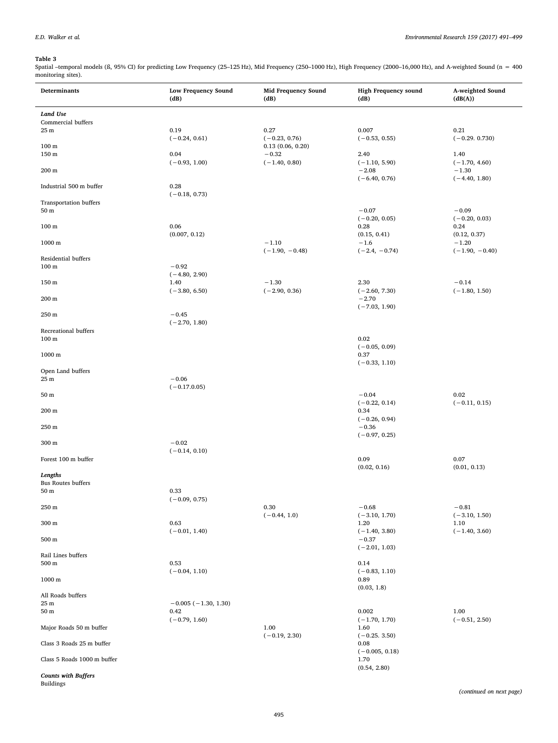# <span id="page-4-0"></span>Table 3

Spatial –temporal models (ß, 95% CI) for predicting Low Frequency (25–125 Hz), Mid Frequency (250–1000 Hz), High Frequency (2000–16,000 Hz), and A-weighted Sound (n = 400 monitoring sites).

| Determinants                                             | Low Frequency Sound<br>(dB) | <b>Mid Frequency Sound</b><br>(dB) | <b>High Frequency sound</b><br>(dB)           | A-weighted Sound<br>(dB(A)) |
|----------------------------------------------------------|-----------------------------|------------------------------------|-----------------------------------------------|-----------------------------|
| <b>Land Use</b>                                          |                             |                                    |                                               |                             |
| Commercial buffers<br>25 <sub>m</sub>                    | 0.19<br>$(-0.24, 0.61)$     | 0.27<br>$(-0.23, 0.76)$            | 0.007<br>$(-0.53, 0.55)$                      | 0.21<br>$(-0.29. 0.730)$    |
| 100 <sub>m</sub>                                         |                             | 0.13(0.06, 0.20)                   |                                               |                             |
| 150 m                                                    | 0.04<br>$(-0.93, 1.00)$     | $-0.32$<br>$(-1.40, 0.80)$         | 2.40<br>$(-1.10, 5.90)$                       | 1.40<br>$(-1.70, 4.60)$     |
| 200 m                                                    |                             |                                    | $-2.08$<br>$(-6.40, 0.76)$                    | $-1.30$<br>$(-4.40, 1.80)$  |
| Industrial 500 m buffer                                  | 0.28<br>$(-0.18, 0.73)$     |                                    |                                               |                             |
| <b>Transportation buffers</b><br>50 <sub>m</sub>         |                             |                                    | $-0.07$                                       | $-0.09$                     |
| 100 <sub>m</sub>                                         | 0.06                        |                                    | $(-0.20, 0.05)$<br>0.28                       | $(-0.20, 0.03)$<br>0.24     |
|                                                          | (0.007, 0.12)               |                                    | (0.15, 0.41)                                  | (0.12, 0.37)                |
| $1000 \text{ m}$                                         |                             | $-1.10$<br>$(-1.90, -0.48)$        | $-1.6$<br>$(-2.4, -0.74)$                     | $-1.20$<br>$(-1.90, -0.40)$ |
| Residential buffers                                      |                             |                                    |                                               |                             |
| 100 <sub>m</sub>                                         | $-0.92$<br>$(-4.80, 2.90)$  |                                    |                                               |                             |
| 150 m                                                    | 1.40<br>$(-3.80, 6.50)$     | $-1.30$<br>$(-2.90, 0.36)$         | 2.30<br>$(-2.60, 7.30)$                       | $-0.14$<br>$(-1.80, 1.50)$  |
| 200 m                                                    |                             |                                    | $-2.70$<br>$(-7.03, 1.90)$                    |                             |
| 250 m                                                    | $-0.45$<br>$(-2.70, 1.80)$  |                                    |                                               |                             |
| Recreational buffers<br>100 <sub>m</sub>                 |                             |                                    | 0.02                                          |                             |
| $1000 \text{ m}$                                         |                             |                                    | $(-0.05, 0.09)$<br>0.37                       |                             |
| Open Land buffers                                        |                             |                                    | $(-0.33, 1.10)$                               |                             |
| 25 <sub>m</sub>                                          | $-0.06$                     |                                    |                                               |                             |
| 50 <sub>m</sub>                                          | $(-0.17.0.05)$              |                                    | $-0.04$<br>$(-0.22, 0.14)$                    | 0.02<br>$(-0.11, 0.15)$     |
| 200 m                                                    |                             |                                    | 0.34<br>$(-0.26, 0.94)$                       |                             |
| 250 m                                                    |                             |                                    | $-0.36$<br>$(-0.97, 0.25)$                    |                             |
| 300 m                                                    | $-0.02$<br>$(-0.14, 0.10)$  |                                    |                                               |                             |
| Forest 100 m buffer                                      |                             |                                    | 0.09<br>(0.02, 0.16)                          | 0.07<br>(0.01, 0.13)        |
| Lengths<br><b>Bus Routes buffers</b>                     |                             |                                    |                                               |                             |
| 50 <sub>m</sub>                                          | 0.33                        |                                    |                                               |                             |
| 250 m                                                    | $(-0.09, 0.75)$             | 0.30                               | $-0.68$                                       | $-0.81$                     |
|                                                          |                             | $(-0.44, 1.0)$                     | $(-3.10, 1.70)$                               | $(-3.10, 1.50)$             |
| 300 m                                                    | 0.63<br>$(-0.01, 1.40)$     |                                    | 1.20                                          | 1.10<br>$(-1.40, 3.60)$     |
| 500 m                                                    |                             |                                    | $(-1.40, 3.80)$<br>$-0.37$<br>$(-2.01, 1.03)$ |                             |
| Rail Lines buffers<br>500 m                              | 0.53                        |                                    | 0.14                                          |                             |
| $1000 \text{ m}$                                         | $(-0.04, 1.10)$             |                                    | $(-0.83, 1.10)$<br>0.89<br>(0.03, 1.8)        |                             |
| All Roads buffers                                        |                             |                                    |                                               |                             |
| 25 <sub>m</sub>                                          | $-0.005$ ( $-1.30$ , 1.30)  |                                    |                                               |                             |
| 50 m                                                     | 0.42<br>$(-0.79, 1.60)$     |                                    | 0.002<br>$(-1.70, 1.70)$                      | 1.00<br>$(-0.51, 2.50)$     |
| Major Roads 50 m buffer                                  |                             | 1.00<br>$(-0.19, 2.30)$            | 1.60<br>$(-0.25.3.50)$                        |                             |
| Class 3 Roads 25 m buffer<br>Class 5 Roads 1000 m buffer |                             |                                    | 0.08<br>$(-0.005, 0.18)$<br>1.70              |                             |
|                                                          |                             |                                    | (0.54, 2.80)                                  |                             |
| <b>Counts with Buffers</b>                               |                             |                                    |                                               |                             |

Buildings

(continued on next page)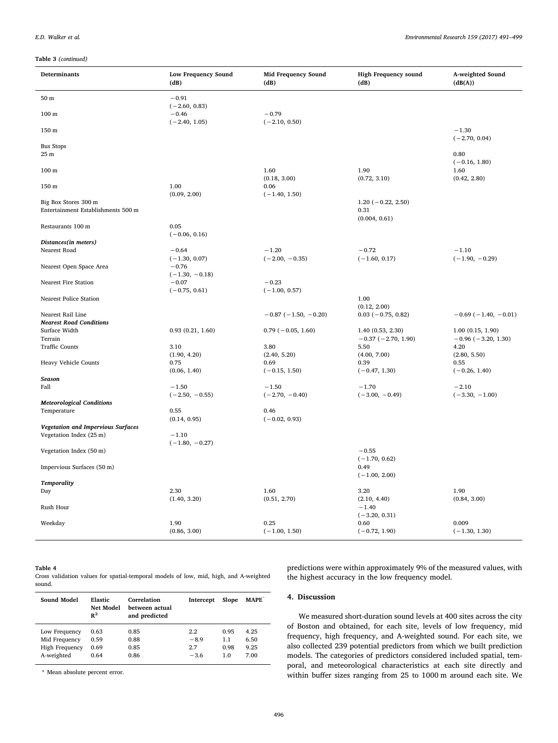# Table 3 (continued)

| <b>Determinants</b>                       | Low Frequency Sound<br>(dB) | <b>Mid Frequency Sound</b><br>(dB) | <b>High Frequency sound</b><br>(dB) | A-weighted Sound<br>(dB(A)) |
|-------------------------------------------|-----------------------------|------------------------------------|-------------------------------------|-----------------------------|
|                                           |                             |                                    |                                     |                             |
| 50 m                                      | $-0.91$                     |                                    |                                     |                             |
|                                           | $(-2.60, 0.83)$             |                                    |                                     |                             |
| 100 <sub>m</sub>                          | $-0.46$                     | $-0.79$                            |                                     |                             |
| 150 m                                     | $(-2.40, 1.05)$             | $(-2.10, 0.50)$                    |                                     | $-1.30$                     |
|                                           |                             |                                    |                                     | $(-2.70, 0.04)$             |
| <b>Bus Stops</b>                          |                             |                                    |                                     |                             |
| 25 <sub>m</sub>                           |                             |                                    |                                     | 0.80                        |
|                                           |                             |                                    |                                     | $(-0.16, 1.80)$             |
| 100 <sub>m</sub>                          |                             | 1.60                               | 1.90                                | 1.60                        |
|                                           |                             | (0.18, 3.00)                       | (0.72, 3.10)                        | (0.42, 2.80)                |
| 150 m                                     | 1.00                        | 0.06                               |                                     |                             |
|                                           | (0.09, 2.00)                | $(-1.40, 1.50)$                    |                                     |                             |
| Big Box Stores 300 m                      |                             |                                    | $1.20 (-0.22, 2.50)$                |                             |
| Entertainment Establishments 500 m        |                             |                                    | 0.31                                |                             |
|                                           |                             |                                    | (0.004, 0.61)                       |                             |
| Restaurants 100 m                         | 0.05                        |                                    |                                     |                             |
| Distances(in meters)                      | $(-0.06, 0.16)$             |                                    |                                     |                             |
| Nearest Road                              | $-0.64$                     | $-1.20$                            | $-0.72$                             | $-1.10$                     |
|                                           | $(-1.30, 0.07)$             | $(-2.00, -0.35)$                   | $(-1.60, 0.17)$                     | $(-1.90, -0.29)$            |
| Nearest Open Space Area                   | $-0.76$                     |                                    |                                     |                             |
|                                           | $(-1.30, -0.18)$            |                                    |                                     |                             |
| <b>Nearest Fire Station</b>               | $-0.07$                     | $-0.23$                            |                                     |                             |
|                                           | $(-0.75, 0.61)$             | $(-1.00, 0.57)$                    |                                     |                             |
| Nearest Police Station                    |                             |                                    | 1.00                                |                             |
|                                           |                             |                                    | (0.12, 2.00)                        |                             |
| Nearest Rail Line                         |                             | $-0.87$ ( $-1.50$ , $-0.20$ )      | $0.03$ ( $-0.75, 0.82$ )            | $-0.69(-1.40, -0.01)$       |
| <b>Nearest Road Conditions</b>            |                             |                                    |                                     |                             |
| Surface Width                             | 0.93(0.21, 1.60)            | $0.79$ ( $-0.05$ , 1.60)           | 1.40 (0.53, 2.30)                   | 1.00(0.15, 1.90)            |
| Terrain                                   |                             |                                    | $-0.37$ ( $-2.70$ , 1.90)           | $-0.96$ ( $-3.20$ , 1.30)   |
| <b>Traffic Counts</b>                     | 3.10                        | 3.80                               | 5.50                                | 4.20                        |
|                                           | (1.90, 4.20)                | (2.40, 5.20)                       | (4.00, 7.00)                        | (2.80, 5.50)                |
| Heavy Vehicle Counts                      | 0.75                        | 0.69                               | 0.39                                | 0.55                        |
| Season                                    | (0.06, 1.40)                | $(-0.15, 1.50)$                    | $(-0.47, 1.30)$                     | $(-0.26, 1.40)$             |
| Fall                                      | $-1.50$                     | $-1.50$                            | $-1.70$                             | $-2.10$                     |
|                                           | $(-2.50, -0.55)$            | $(-2.70, -0.40)$                   | $(-3.00, -0.49)$                    | $(-3.30, -1.00)$            |
| <b>Meteorological Conditions</b>          |                             |                                    |                                     |                             |
| Temperature                               | 0.55                        | 0.46                               |                                     |                             |
|                                           | (0.14, 0.95)                | $(-0.02, 0.93)$                    |                                     |                             |
| <b>Vegetation and Impervious Surfaces</b> |                             |                                    |                                     |                             |
| Vegetation Index (25 m)                   | $-1.10$                     |                                    |                                     |                             |
|                                           | $(-1.80, -0.27)$            |                                    |                                     |                             |
| Vegetation Index (50 m)                   |                             |                                    | $-0.55$                             |                             |
|                                           |                             |                                    | $(-1.70, 0.62)$                     |                             |
| Impervious Surfaces (50 m)                |                             |                                    | 0.49                                |                             |
|                                           |                             |                                    | $(-1.00, 2.00)$                     |                             |
| Temporality                               |                             |                                    |                                     |                             |
| Day                                       | 2.30                        | 1.60                               | 3.20                                | 1.90                        |
|                                           | (1.40, 3.20)                | (0.51, 2.70)                       | (2.10, 4.40)                        | (0.84, 3.00)                |
| Rush Hour                                 |                             |                                    | $-1.40$                             |                             |
|                                           |                             |                                    | $(-3.20, 0.31)$                     | 0.009                       |
| Weekday                                   | 1.90<br>(0.86, 3.00)        | 0.25<br>$(-1.00, 1.50)$            | 0.60<br>$(-0.72, 1.90)$             | $(-1.30, 1.30)$             |
|                                           |                             |                                    |                                     |                             |

# <span id="page-5-0"></span>Table 4

Cross validation values for spatial-temporal models of low, mid, high, and A-weighted sound.

| Sound Model    | <b>Elastic</b><br>Net Model<br>$R^2$ | Correlation<br>between actual<br>and predicted | Intercept | Slope | <b>MAPE</b> |
|----------------|--------------------------------------|------------------------------------------------|-----------|-------|-------------|
| Low Frequency  | 0.63                                 | 0.85                                           | 2.2       | 0.95  | 4.25        |
| Mid Frequency  | 0.59                                 | 0.88                                           | $-8.9$    | 1.1   | 6.50        |
| High Frequency | 0.69                                 | 0.85                                           | 2.7       | 0.98  | 9.25        |
| A-weighted     | 0.64                                 | 0.86                                           | $-3.6$    | 1.0   | 7.00        |

<span id="page-5-1"></span>\* Mean absolute percent error.

predictions were within approximately 9% of the measured values, with the highest accuracy in the low frequency model.

# 4. Discussion

We measured short-duration sound levels at 400 sites across the city of Boston and obtained, for each site, levels of low frequency, mid frequency, high frequency, and A-weighted sound. For each site, we also collected 239 potential predictors from which we built prediction models. The categories of predictors considered included spatial, temporal, and meteorological characteristics at each site directly and within buffer sizes ranging from 25 to 1000 m around each site. We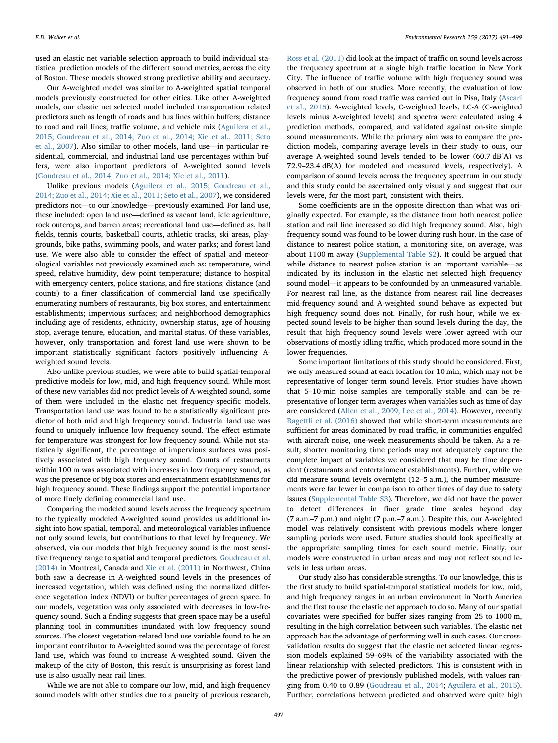used an elastic net variable selection approach to build individual statistical prediction models of the different sound metrics, across the city of Boston. These models showed strong predictive ability and accuracy.

Our A-weighted model was similar to A-weighted spatial temporal models previously constructed for other cities. Like other A-weighted models, our elastic net selected model included transportation related predictors such as length of roads and bus lines within buffers; distance to road and rail lines; traffic volume, and vehicle mix ([Aguilera et al.,](#page-7-12) [2015; Goudreau et al., 2014; Zuo et al., 2014; Xie et al., 2011; Seto](#page-7-12) [et al., 2007\)](#page-7-12). Also similar to other models, land use—in particular residential, commercial, and industrial land use percentages within buffers, were also important predictors of A-weighted sound levels ([Goudreau et al., 2014; Zuo et al., 2014; Xie et al., 2011\)](#page-7-13).

Unlike previous models ([Aguilera et al., 2015; Goudreau et al.,](#page-7-12) [2014; Zuo et al., 2014; Xie et al., 2011; Seto et al., 2007](#page-7-12)), we considered predictors not—to our knowledge—previously examined. For land use, these included: open land use—defined as vacant land, idle agriculture, rock outcrops, and barren areas; recreational land use—defined as, ball fields, tennis courts, basketball courts, athletic tracks, ski areas, playgrounds, bike paths, swimming pools, and water parks; and forest land use. We were also able to consider the effect of spatial and meteorological variables not previously examined such as: temperature, wind speed, relative humidity, dew point temperature; distance to hospital with emergency centers, police stations, and fire stations; distance (and counts) to a finer classification of commercial land use specifically enumerating numbers of restaurants, big box stores, and entertainment establishments; impervious surfaces; and neighborhood demographics including age of residents, ethnicity, ownership status, age of housing stop, average tenure, education, and marital status. Of these variables, however, only transportation and forest land use were shown to be important statistically significant factors positively influencing Aweighted sound levels.

Also unlike previous studies, we were able to build spatial-temporal predictive models for low, mid, and high frequency sound. While most of these new variables did not predict levels of A-weighted sound, some of them were included in the elastic net frequency-specific models. Transportation land use was found to be a statistically significant predictor of both mid and high frequency sound. Industrial land use was found to uniquely influence low frequency sound. The effect estimate for temperature was strongest for low frequency sound. While not statistically significant, the percentage of impervious surfaces was positively associated with high frequency sound. Counts of restaurants within 100 m was associated with increases in low frequency sound, as was the presence of big box stores and entertainment establishments for high frequency sound. These findings support the potential importance of more finely defining commercial land use.

Comparing the modeled sound levels across the frequency spectrum to the typically modeled A-weighted sound provides us additional insight into how spatial, temporal, and meteorological variables influence not only sound levels, but contributions to that level by frequency. We observed, via our models that high frequency sound is the most sensitive frequency range to spatial and temporal predictors. [Goudreau et al.](#page-7-13) [\(2014\)](#page-7-13) in Montreal, Canada and [Xie et al. \(2011\)](#page-8-8) in Northwest, China both saw a decrease in A-weighted sound levels in the presences of increased vegetation, which was defined using the normalized difference vegetation index (NDVI) or buffer percentages of green space. In our models, vegetation was only associated with decreases in low-frequency sound. Such a finding suggests that green space may be a useful planning tool in communities inundated with low frequency sound sources. The closest vegetation-related land use variable found to be an important contributor to A-weighted sound was the percentage of forest land use, which was found to increase A-weighted sound. Given the makeup of the city of Boston, this result is unsurprising as forest land use is also usually near rail lines.

While we are not able to compare our low, mid, and high frequency sound models with other studies due to a paucity of previous research,

[Ross et al. \(2011\)](#page-8-9) did look at the impact of traffic on sound levels across the frequency spectrum at a single high traffic location in New York City. The influence of traffic volume with high frequency sound was observed in both of our studies. More recently, the evaluation of low frequency sound from road traffic was carried out in Pisa, Italy ([Ascari](#page-7-14) [et al., 2015](#page-7-14)). A-weighted levels, C-weighted levels, LC-A (C-weighted levels minus A-weighted levels) and spectra were calculated using 4 prediction methods, compared, and validated against on-site simple sound measurements. While the primary aim was to compare the prediction models, comparing average levels in their study to ours, our average A-weighted sound levels tended to be lower (60.7 dB(A) vs 72.9–23.4 dB(A) for modeled and measured levels, respectively). A comparison of sound levels across the frequency spectrum in our study and this study could be ascertained only visually and suggest that our levels were, for the most part, consistent with theirs.

Some coefficients are in the opposite direction than what was originally expected. For example, as the distance from both nearest police station and rail line increased so did high frequency sound. Also, high frequency sound was found to be lower during rush hour. In the case of distance to nearest police station, a monitoring site, on average, was about 1100 m away (Supplemental Table S2). It could be argued that while distance to nearest police station is an important variable—as indicated by its inclusion in the elastic net selected high frequency sound model—it appears to be confounded by an unmeasured variable. For nearest rail line, as the distance from nearest rail line decreases mid-frequency sound and A-weighted sound behave as expected but high frequency sound does not. Finally, for rush hour, while we expected sound levels to be higher than sound levels during the day, the result that high frequency sound levels were lower agreed with our observations of mostly idling traffic, which produced more sound in the lower frequencies.

Some important limitations of this study should be considered. First, we only measured sound at each location for 10 min, which may not be representative of longer term sound levels. Prior studies have shown that 5–10-min noise samples are temporally stable and can be representative of longer term averages when variables such as time of day are considered ([Allen et al., 2009; Lee et al., 2014](#page-7-15)). However, recently [Ragettli et al. \(2016\)](#page-8-10) showed that while short-term measurements are sufficient for areas dominated by road traffic, in communities engulfed with aircraft noise, one-week measurements should be taken. As a result, shorter monitoring time periods may not adequately capture the complete impact of variables we considered that may be time dependent (restaurants and entertainment establishments). Further, while we did measure sound levels overnight (12–5 a.m.), the number measurements were far fewer in comparison to other times of day due to safety issues (Supplemental Table S3). Therefore, we did not have the power to detect differences in finer grade time scales beyond day (7 a.m.–7 p.m.) and night (7 p.m.–7 a.m.). Despite this, our A-weighted model was relatively consistent with previous models where longer sampling periods were used. Future studies should look specifically at the appropriate sampling times for each sound metric. Finally, our models were constructed in urban areas and may not reflect sound levels in less urban areas.

Our study also has considerable strengths. To our knowledge, this is the first study to build spatial-temporal statistical models for low, mid, and high frequency ranges in an urban environment in North America and the first to use the elastic net approach to do so. Many of our spatial covariates were specified for buffer sizes ranging from 25 to 1000 m, resulting in the high correlation between such variables. The elastic net approach has the advantage of performing well in such cases. Our crossvalidation results do suggest that the elastic net selected linear regression models explained 59–69% of the variability associated with the linear relationship with selected predictors. This is consistent with in the predictive power of previously published models, with values ranging from 0.40 to 0.89 ([Goudreau et al., 2014](#page-7-13); [Aguilera et al., 2015](#page-7-12)). Further, correlations between predicted and observed were quite high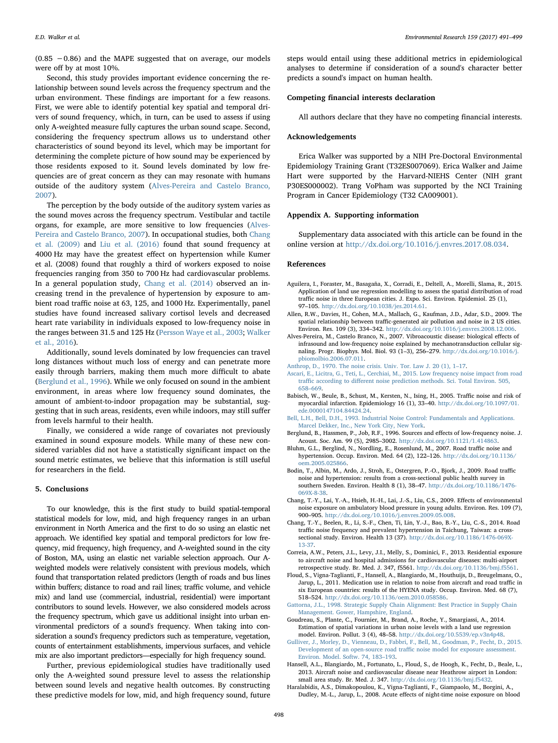(0.85 −0.86) and the MAPE suggested that on average, our models were off by at most 10%.

Second, this study provides important evidence concerning the relationship between sound levels across the frequency spectrum and the urban environment. These findings are important for a few reasons. First, we were able to identify potential key spatial and temporal drivers of sound frequency, which, in turn, can be used to assess if using only A-weighted measure fully captures the urban sound scape. Second, considering the frequency spectrum allows us to understand other characteristics of sound beyond its level, which may be important for determining the complete picture of how sound may be experienced by those residents exposed to it. Sound levels dominated by low frequencies are of great concern as they can may resonate with humans outside of the auditory system [\(Alves-Pereira and Castelo Branco,](#page-7-8) [2007\)](#page-7-8).

The perception by the body outside of the auditory system varies as the sound moves across the frequency spectrum. Vestibular and tactile organs, for example, are more sensitive to low frequencies [\(Alves-](#page-7-8)[Pereira and Castelo Branco, 2007](#page-7-8)). In occupational studies, both [Chang](#page-7-16) [et al. \(2009\)](#page-7-16) and [Liu et al. \(2016\)](#page-8-11) found that sound frequency at 4000 Hz may have the greatest effect on hypertension while Kumer et al. (2008) found that roughly a third of workers exposed to noise frequencies ranging from 350 to 700 Hz had cardiovascular problems. In a general population study, [Chang et al. \(2014\)](#page-7-9) observed an increasing trend in the prevalence of hypertension by exposure to ambient road traffic noise at 63, 125, and 1000 Hz. Experimentally, panel studies have found increased salivary cortisol levels and decreased heart rate variability in individuals exposed to low-frequency noise in the ranges between 31.5 and 125 Hz ([Persson Waye et al., 2003](#page-8-1); [Walker](#page-8-3) [et al., 2016](#page-8-3)).

Additionally, sound levels dominated by low frequencies can travel long distances without much loss of energy and can penetrate more easily through barriers, making them much more difficult to abate ([Berglund et al., 1996](#page-7-17)). While we only focused on sound in the ambient environment, in areas where low frequency sound dominates, the amount of ambient-to-indoor propagation may be substantial, suggesting that in such areas, residents, even while indoors, may still suffer from levels harmful to their health.

Finally, we considered a wide range of covariates not previously examined in sound exposure models. While many of these new considered variables did not have a statistically significant impact on the sound metric estimates, we believe that this information is still useful for researchers in the field.

## 5. Conclusions

To our knowledge, this is the first study to build spatial-temporal statistical models for low, mid, and high frequency ranges in an urban environment in North America and the first to do so using an elastic net approach. We identified key spatial and temporal predictors for low frequency, mid frequency, high frequency, and A-weighted sound in the city of Boston, MA, using an elastic net variable selection approach. Our Aweighted models were relatively consistent with previous models, which found that transportation related predictors (length of roads and bus lines within buffers; distance to road and rail lines; traffic volume, and vehicle mix) and land use (commercial, industrial, residential) were important contributors to sound levels. However, we also considered models across the frequency spectrum, which gave us additional insight into urban environmental predictors of a sound's frequency. When taking into consideration a sound's frequency predictors such as temperature, vegetation, counts of entertainment establishments, impervious surfaces, and vehicle mix are also important predictors—especially for high frequency sound.

Further, previous epidemiological studies have traditionally used only the A-weighted sound pressure level to assess the relationship between sound levels and negative health outcomes. By constructing these predictive models for low, mid, and high frequency sound, future

steps would entail using these additional metrics in epidemiological analyses to determine if consideration of a sound's character better predicts a sound's impact on human health.

## Competing financial interests declaration

All authors declare that they have no competing financial interests.

# Acknowledgements

Erica Walker was supported by a NIH Pre-Doctoral Environmental Epidemiology Training Grant (T32ES007069). Erica Walker and Jaime Hart were supported by the Harvard-NIEHS Center (NIH grant P30ES000002). Trang VoPham was supported by the NCI Training Program in Cancer Epidemiology (T32 CA009001).

# Appendix A. Supporting information

Supplementary data associated with this article can be found in the online version at [http://dx.doi.org/10.1016/j.envres.2017.08.034.](http://dx.doi.org/10.1016/j.envres.2017.08.034)

#### References

- <span id="page-7-12"></span>Aguilera, I., Foraster, M., Basagaña, X., Corradi, E., Deltell, A., Morelli, Slama, R., 2015. Application of land use regression modelling to assess the spatial distribution of road traffic noise in three European cities. J. Expo. Sci. Environ. Epidemiol. 25 (1), 97–105. <http://dx.doi.org/10.1038/jes.2014.61>.
- <span id="page-7-15"></span>Allen, R.W., Davies, H., Cohen, M.A., Mallach, G., Kaufman, J.D., Adar, S.D., 2009. The spatial relationship between traffic-generated air pollution and noise in 2 US cities. Environ. Res. 109 (3), 334–342. [http://dx.doi.org/10.1016/j.envres.2008.12.006.](http://dx.doi.org/10.1016/j.envres.2008.12.006)
- <span id="page-7-8"></span>Alves-Pereira, M., Castelo Branco, N., 2007. Vibroacoustic disease: biological effects of infrasound and low-frequency noise explained by mechanotransduction cellular signaling. Progr. Biophys. Mol. Biol. 93 (1–3), 256–279. [http://dx.doi.org/10.1016/j.](http://dx.doi.org/10.1016/j.pbiomolbio.2006.07.011) [pbiomolbio.2006.07.011](http://dx.doi.org/10.1016/j.pbiomolbio.2006.07.011).
- <span id="page-7-0"></span>[Anthrop, D., 1970. The noise crisis. Univ. Tor. Law J. 20 \(1\), 1](http://refhub.elsevier.com/S0013-9351(17)31273-2/sbref4)–17.
- <span id="page-7-14"></span>[Ascari, E., Licitra, G., Teti, L., Cerchiai, M., 2015. Low frequency noise impact from road](http://refhub.elsevier.com/S0013-9351(17)31273-2/sbref5) traffic according to diff[erent noise prediction methods. Sci. Total Environ. 505,](http://refhub.elsevier.com/S0013-9351(17)31273-2/sbref5) 658–[669](http://refhub.elsevier.com/S0013-9351(17)31273-2/sbref5).
- <span id="page-7-3"></span>Babisch, W., Beule, B., Schust, M., Kersten, N., Ising, H., 2005. Traffic noise and risk of myocardial infarction. Epidemiology 16 (1), 33–40. [http://dx.doi.org/10.1097/01.](http://dx.doi.org/10.1097/01.ede.0000147104.84424.24) [ede.0000147104.84424.24.](http://dx.doi.org/10.1097/01.ede.0000147104.84424.24)
- <span id="page-7-10"></span>[Bell, L.H., Bell, D.H., 1993. Industrial Noise Control: Fundamentals and Applications.](http://refhub.elsevier.com/S0013-9351(17)31273-2/sbref7) [Marcel Dekker, Inc., New York City, New York](http://refhub.elsevier.com/S0013-9351(17)31273-2/sbref7).
- <span id="page-7-17"></span>Berglund, B., Hassmen, P., Job, R.F., 1996. Sources and effects of low-frequency noise. J. Acoust. Soc. Am. 99 (5), 2985–3002. <http://dx.doi.org/10.1121/1.414863>.
- <span id="page-7-2"></span>Bluhm, G.L., Berglind, N., Nordling, E., Rosenlund, M., 2007. Road traffic noise and hypertension. Occup. Environ. Med. 64 (2), 122–126. [http://dx.doi.org/10.1136/](http://dx.doi.org/10.1136/oem.2005.025866) [oem.2005.025866](http://dx.doi.org/10.1136/oem.2005.025866).
- Bodin, T., Albin, M., Ardo, J., Stroh, E., Ostergren, P.-O., Bjork, J., 2009. Road traffic noise and hypertension: results from a cross-sectional public health survey in southern Sweden. Environ. Health 8 (1), 38–47. [http://dx.doi.org/10.1186/1476-](http://dx.doi.org/10.1186/1476-069X-8-38) [069X-8-38](http://dx.doi.org/10.1186/1476-069X-8-38).
- <span id="page-7-16"></span>Chang, T.-Y., Lai, Y.-A., Hsieh, H.-H., Lai, J.-S., Liu, C.S., 2009. Effects of environmental noise exposure on ambulatory blood pressure in young adults. Environ. Res. 109 (7), 900–905. [http://dx.doi.org/10.1016/j.envres.2009.05.008.](http://dx.doi.org/10.1016/j.envres.2009.05.008)
- <span id="page-7-9"></span>Chang, T.-Y., Beelen, R., Li, S.-F., Chen, Ti, Lin, Y.-J., Bao, B.-Y., Liu, C.-S., 2014. Road traffic noise frequency and prevalent hypertension in Taichung, Taiwan: a crosssectional study. Environ. Health 13 (37). [http://dx.doi.org/10.1186/1476-069X-](http://dx.doi.org/10.1186/1476-069X-13-37)[13-37.](http://dx.doi.org/10.1186/1476-069X-13-37)
- <span id="page-7-6"></span>Correia, A.W., Peters, J.L., Levy, J.I., Melly, S., Dominici, F., 2013. Residential exposure to aircraft noise and hospital admissions for cardiovascular diseases: multi-airport retrospective study. Br. Med. J. 347, f5561. [http://dx.doi.org/10.1136/bmj.f5561.](http://dx.doi.org/10.1136/bmj.f5561)
- <span id="page-7-4"></span>Floud, S., Vigna-Taglianti, F., Hansell, A., Blangiardo, M., Houthuijs, D., Breugelmans, O., Jarup, L., 2011. Medication use in relation to noise from aircraft and road traffic in six European countries: results of the HYENA study. Occup. Environ. Med. 68 (7), 518–524. [http://dx.doi.org/10.1136/oem.2010.058586.](http://dx.doi.org/10.1136/oem.2010.058586)
- <span id="page-7-11"></span>[Gattorna, J.L., 1998. Strategic Supply Chain Alignment: Best Practice in Supply Chain](http://refhub.elsevier.com/S0013-9351(17)31273-2/sbref15) [Management. Gower, Hampshire, England](http://refhub.elsevier.com/S0013-9351(17)31273-2/sbref15).
- <span id="page-7-13"></span>Goudreau, S., Plante, C., Fournier, M., Brand, A., Roche, Y., Smargiassi, A., 2014. Estimation of spatial variations in urban noise levels with a land use regression model. Environ. Pollut. 3 (4), 48–58. <http://dx.doi.org/10.5539/ep.v3n4p48>.
- <span id="page-7-7"></span>[Gulliver, J., Morley, D., Vienneau, D., Fabbri, F., Bell, M., Goodman, P., Fecht, D., 2015.](http://refhub.elsevier.com/S0013-9351(17)31273-2/sbref17) [Development of an open-source road tra](http://refhub.elsevier.com/S0013-9351(17)31273-2/sbref17)ffic noise model for exposure assessment. [Environ. Model. Softw. 74, 183](http://refhub.elsevier.com/S0013-9351(17)31273-2/sbref17)–193.
- <span id="page-7-5"></span>Hansell, A.L., Blangiardo, M., Fortunato, L., Floud, S., de Hoogh, K., Fecht, D., Beale, L., 2013. Aircraft noise and cardiovascular disease near Heathrow airport in London: small area study. Br. Med. J. 347. <http://dx.doi.org/10.1136/bmj.f5432>.
- <span id="page-7-1"></span>Haralabidis, A.S., Dimakopoulou, K., Vigna-Taglianti, F., Giampaolo, M., Borgini, A., Dudley, M.-L., Jarup, L., 2008. Acute effects of night-time noise exposure on blood